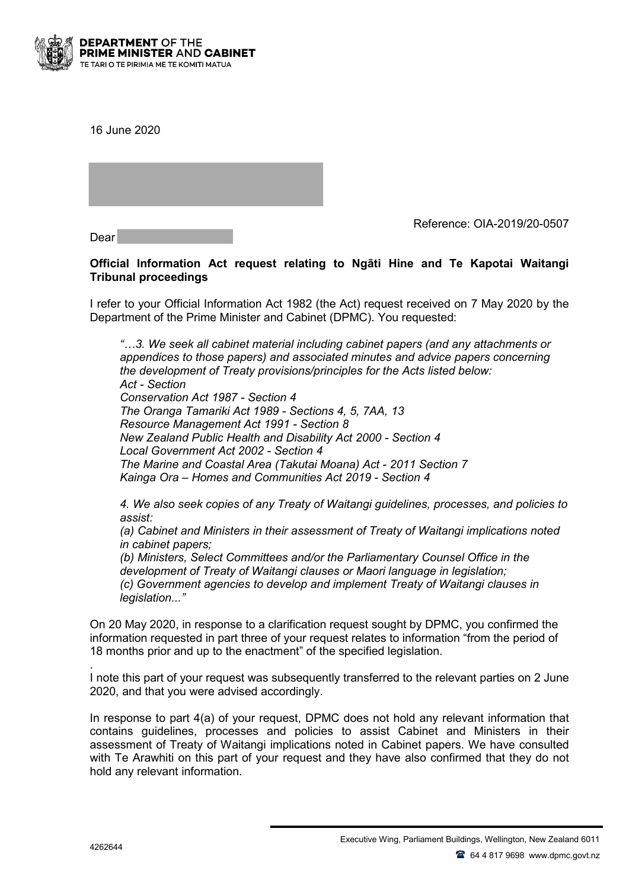

16 June 2020

Dear

Reference: OIA-2019/20-0507

## **Official Information Act request relating to Ngāti Hine and Te Kapotai Waitangi Tribunal proceedings**

I refer to your Official Information Act 1982 (the Act) request received on 7 May 2020 by the Department of the Prime Minister and Cabinet (DPMC). You requested:

*"…3. We seek all cabinet material including cabinet papers (and any attachments or appendices to those papers) and associated minutes and advice papers concerning the development of Treaty provisions/principles for the Acts listed below: Act - Section Conservation Act 1987 - Section 4 The Oranga Tamariki Act 1989 - Sections 4, 5, 7AA, 13 Resource Management Act 1991 - Section 8 New Zealand Public Health and Disability Act 2000 - Section 4 Local Government Act 2002 - Section 4 The Marine and Coastal Area (Takutai Moana) Act - 2011 Section 7 Kainga Ora – Homes and Communities Act 2019 - Section 4*

*4. We also seek copies of any Treaty of Waitangi guidelines, processes, and policies to assist:* 

*(a) Cabinet and Ministers in their assessment of Treaty of Waitangi implications noted in cabinet papers;*

*(b) Ministers, Select Committees and/or the Parliamentary Counsel Office in the development of Treaty of Waitangi clauses or Maori language in legislation; (c) Government agencies to develop and implement Treaty of Waitangi clauses in legislation..."* 

On 20 May 2020, in response to a clarification request sought by DPMC, you confirmed the information requested in part three of your request relates to information "from the period of 18 months prior and up to the enactment" of the specified legislation.

. I note this part of your request was subsequently transferred to the relevant parties on 2 June 2020, and that you were advised accordingly.

In response to part 4(a) of your request, DPMC does not hold any relevant information that contains guidelines, processes and policies to assist Cabinet and Ministers in their assessment of Treaty of Waitangi implications noted in Cabinet papers. We have consulted with Te Arawhiti on this part of your request and they have also confirmed that they do not hold any relevant information.